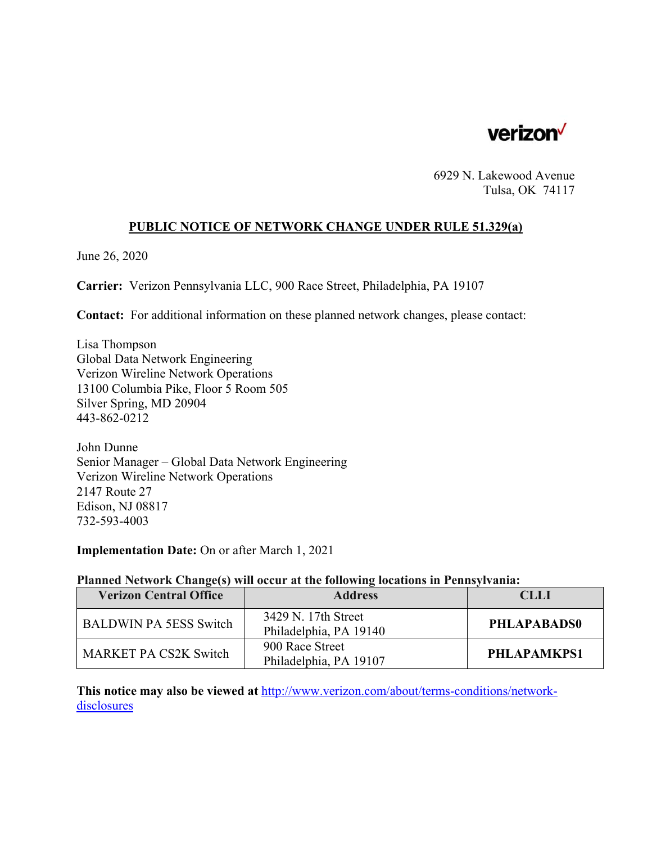

6929 N. Lakewood Avenue Tulsa, OK 74117

# **PUBLIC NOTICE OF NETWORK CHANGE UNDER RULE 51.329(a)**

June 26, 2020

**Carrier:** Verizon Pennsylvania LLC, 900 Race Street, Philadelphia, PA 19107

**Contact:** For additional information on these planned network changes, please contact:

Lisa Thompson Global Data Network Engineering Verizon Wireline Network Operations 13100 Columbia Pike, Floor 5 Room 505 Silver Spring, MD 20904 443-862-0212

John Dunne Senior Manager – Global Data Network Engineering Verizon Wireline Network Operations 2147 Route 27 Edison, NJ 08817 732-593-4003

**Implementation Date:** On or after March 1, 2021

#### **Planned Network Change(s) will occur at the following locations in Pennsylvania:**

| <b>Verizon Central Office</b> | <b>Address</b>                                | CLLI        |
|-------------------------------|-----------------------------------------------|-------------|
| <b>BALDWIN PA 5ESS Switch</b> | 3429 N. 17th Street<br>Philadelphia, PA 19140 | PHLAPABADS0 |
| <b>MARKET PA CS2K Switch</b>  | 900 Race Street<br>Philadelphia, PA 19107     | PHLAPAMKPS1 |

**This notice may also be viewed at** http://www.verizon.com/about/terms-conditions/networkdisclosures